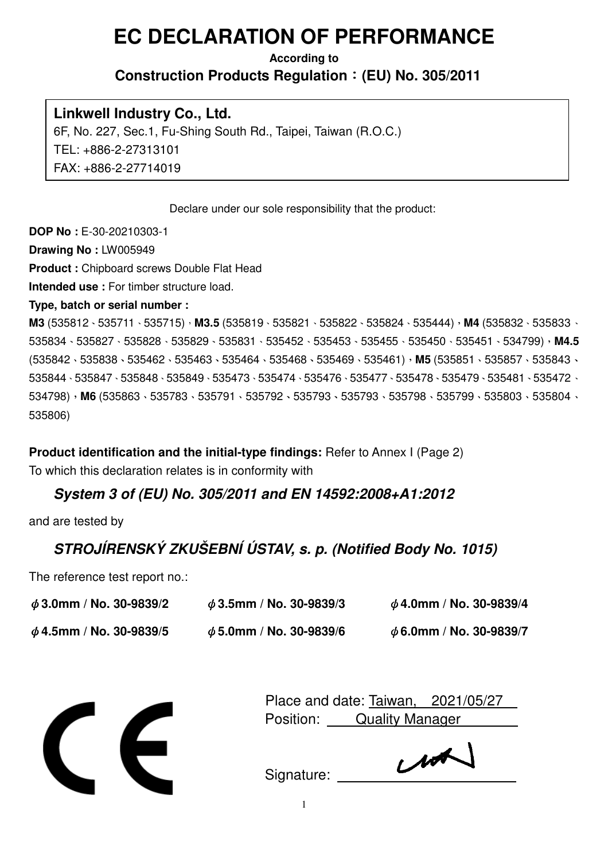# **EC DECLARATION OF PERFORMANCE**

#### **According to Construction Products Regulation**:**(EU) No. 305/2011**

## **Linkwell Industry Co., Ltd.**

6F, No. 227, Sec.1, Fu-Shing South Rd., Taipei, Taiwan (R.O.C.) TEL: +886-2-27313101 FAX: +886-2-27714019

Declare under our sole responsibility that the product:

**DOP No :** E-30-20210303-1

**Drawing No :** LW005949

**Product :** Chipboard screws Double Flat Head

**Intended use :** For timber structure load.

#### **Type, batch or serial number :**

**M3** (535812、535711、535715),**M3.5** (535819、535821、535822、535824、535444),**M4** (535832、535833、 535834、535827、535828、535829、535831、535452、535453、535455、535450、535451、534799),**M4.5** (535842、535838、535462、535463、535464、535468、535469、535461),**M5** (535851、535857、535843、 535844、535847、535848、535849、535473、535474、535476、535477、535478、535479、535481、535472、 534798),**M6** (535863、535783、535791、535792、535793、535793、535798、535799、535803、535804、 535806)

**Product identification and the initial-type findings:** Refer to Annex I (Page 2) To which this declaration relates is in conformity with

## **System 3 of (EU) No. 305/2011 and EN 14592:2008+A1:2012**

and are tested by

# **STROJÍRENSKÝ ZKUŠEBNÍ ÚSTAV, s. p. (Notified Body No. 1015)**

The reference test report no.:

| $\phi$ 3.0mm / No. 30-9839/2 | $\phi$ 3.5mm / No. 30-9839/3 | $\phi$ 4.0mm / No. 30-9839/4 |
|------------------------------|------------------------------|------------------------------|
| $\phi$ 4.5mm / No. 30-9839/5 | $\phi$ 5.0mm / No. 30-9839/6 | $\phi$ 6.0mm / No. 30-9839/7 |



|           |                        | Place and date: Taiwan, 2021/05/27 |
|-----------|------------------------|------------------------------------|
| Position: | <b>Quality Manager</b> |                                    |

Signature: